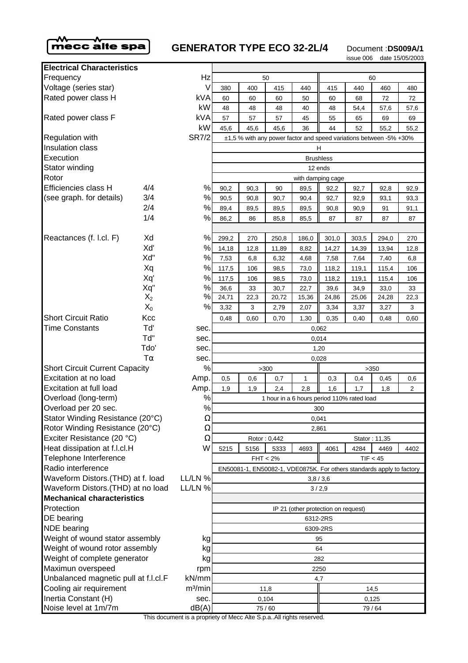

## **GENERATOR TYPE ECO 32-2L/4** Document :DS009A/1

issue 006 date 15/05/2003

| <b>Electrical Characteristics</b>                |       |                     |                                                                       |       |       |       |       |       |       |                |  |
|--------------------------------------------------|-------|---------------------|-----------------------------------------------------------------------|-------|-------|-------|-------|-------|-------|----------------|--|
| Frequency                                        |       | Hz                  | 50                                                                    |       |       |       | 60    |       |       |                |  |
| Voltage (series star)                            |       | V                   | 380                                                                   | 400   | 415   | 440   | 415   | 440   | 460   | 480            |  |
| Rated power class H                              |       | <b>kVA</b>          | 60                                                                    | 60    | 60    | 50    | 60    | 68    | 72    | 72             |  |
|                                                  |       | kW                  | 48                                                                    | 48    | 48    | 40    | 48    | 54,4  | 57,6  | 57,6           |  |
| Rated power class F                              |       | kVA                 | 57                                                                    | 57    | 57    | 45    | 55    | 65    | 69    | 69             |  |
|                                                  |       | kW                  | 45,6                                                                  | 45,6  | 45,6  | 36    | 44    | 52    | 55,2  | 55,2           |  |
| <b>Regulation with</b>                           |       | <b>SR7/2</b>        | ±1,5 % with any power factor and speed variations between -5% +30%    |       |       |       |       |       |       |                |  |
| Insulation class<br>Execution                    |       |                     |                                                                       |       |       |       | H     |       |       |                |  |
| Stator winding                                   |       |                     | <b>Brushless</b>                                                      |       |       |       |       |       |       |                |  |
| Rotor                                            |       |                     | 12 ends<br>with damping cage                                          |       |       |       |       |       |       |                |  |
| Efficiencies class H                             | 4/4   | $\%$                | 90,2                                                                  | 90,3  | 90    | 89,5  | 92,2  | 92,7  | 92,8  | 92,9           |  |
| (see graph. for details)                         | 3/4   | $\%$                | 90,5                                                                  | 90,8  | 90,7  | 90,4  | 92,7  | 92,9  | 93,1  | 93,3           |  |
|                                                  | 2/4   | $\%$                | 89,4                                                                  | 89,5  | 89,5  | 89,5  | 90,8  | 90,9  | 91    | 91,1           |  |
|                                                  | 1/4   | %                   | 86,2                                                                  | 86    | 85,8  | 85,5  | 87    | 87    | 87    | 87             |  |
|                                                  |       |                     |                                                                       |       |       |       |       |       |       |                |  |
| Reactances (f. l.cl. F)                          | Xd    | $\%$                | 299,2                                                                 | 270   | 250,8 | 186,0 | 301,0 | 303,5 | 294,0 | 270            |  |
|                                                  | Xď    | $\%$                | 14,18                                                                 | 12,8  | 11,89 | 8,82  | 14,27 | 14,39 | 13,94 | 12,8           |  |
|                                                  | Xd"   | $\%$                | 7,53                                                                  | 6,8   | 6,32  | 4,68  | 7,58  | 7,64  | 7,40  | 6,8            |  |
|                                                  | Xq    | $\%$                | 117,5                                                                 | 106   | 98,5  | 73,0  | 118,2 | 119,1 | 115,4 | 106            |  |
|                                                  | Xq'   | $\%$                | 117,5                                                                 | 106   | 98,5  | 73,0  | 118,2 | 119,1 | 115,4 | 106            |  |
|                                                  | Xq"   | $\%$                | 36,6                                                                  | 33    | 30,7  | 22,7  | 39,6  | 34,9  | 33,0  | 33             |  |
|                                                  | $X_2$ | $\%$                | 24,71                                                                 | 22,3  | 20,72 | 15,36 | 24,86 | 25,06 | 24,28 | 22,3           |  |
|                                                  | $X_0$ | %                   | 3,32                                                                  | 3     | 2,79  | 2,07  | 3,34  | 3,37  | 3,27  | 3              |  |
| <b>Short Circuit Ratio</b>                       | Kcc   |                     | 0,48                                                                  | 0,60  | 0,70  | 1,30  | 0,35  | 0,40  | 0,48  | 0,60           |  |
| <b>Time Constants</b>                            | Td'   | sec.                |                                                                       | 0,062 |       |       |       |       |       |                |  |
|                                                  | Td"   | sec.                | 0,014                                                                 |       |       |       |       |       |       |                |  |
|                                                  | Tdo'  | sec.                | 1,20                                                                  |       |       |       |       |       |       |                |  |
| $T\alpha$                                        |       | sec.                | 0,028                                                                 |       |       |       |       |       |       |                |  |
| <b>Short Circuit Current Capacity</b>            |       | $\%$                | >300                                                                  |       |       |       |       |       | >350  |                |  |
| Excitation at no load<br>Excitation at full load |       | Amp.                | 0,5                                                                   | 0,6   | 0,7   | 1     | 0,3   | 0,4   | 0,45  | 0,6            |  |
| Overload (long-term)                             |       | Amp.<br>$\%$        | 1,9                                                                   | 1,9   | 2,4   | 2,8   | 1,6   | 1,7   | 1,8   | $\overline{2}$ |  |
| Overload per 20 sec.                             |       | $\%$                | 1 hour in a 6 hours period 110% rated load                            |       |       |       |       |       |       |                |  |
| Stator Winding Resistance (20°C)                 |       | $\Omega$            | 300<br>0,041                                                          |       |       |       |       |       |       |                |  |
| Rotor Winding Resistance (20°C)                  |       | $\Omega$            | 2,861                                                                 |       |       |       |       |       |       |                |  |
| Exciter Resistance (20 °C)                       |       | Ω                   | Rotor: 0,442<br>Stator: 11,35                                         |       |       |       |       |       |       |                |  |
| Heat dissipation at f.l.cl.H                     |       | W                   | 5215                                                                  | 5156  | 5333  | 4693  | 4061  | 4284  | 4469  | 4402           |  |
| Telephone Interference                           |       |                     | $FHT < 2\%$<br>TIF < 45                                               |       |       |       |       |       |       |                |  |
| Radio interference                               |       |                     | EN50081-1, EN50082-1, VDE0875K. For others standards apply to factory |       |       |       |       |       |       |                |  |
| Waveform Distors. (THD) at f. load               |       | LL/LN %             | 3,8/3,6                                                               |       |       |       |       |       |       |                |  |
| Waveform Distors. (THD) at no load               |       | LL/LN %             | 3/2,9                                                                 |       |       |       |       |       |       |                |  |
| <b>Mechanical characteristics</b>                |       |                     |                                                                       |       |       |       |       |       |       |                |  |
| Protection                                       |       |                     | IP 21 (other protection on request)                                   |       |       |       |       |       |       |                |  |
| DE bearing                                       |       |                     | 6312-2RS                                                              |       |       |       |       |       |       |                |  |
| <b>NDE</b> bearing                               |       |                     | 6309-2RS                                                              |       |       |       |       |       |       |                |  |
| Weight of wound stator assembly                  |       | kg                  | 95                                                                    |       |       |       |       |       |       |                |  |
| Weight of wound rotor assembly                   |       | kg                  | 64                                                                    |       |       |       |       |       |       |                |  |
| Weight of complete generator                     |       | kg                  | 282                                                                   |       |       |       |       |       |       |                |  |
| Maximun overspeed                                |       | rpm                 | 2250                                                                  |       |       |       |       |       |       |                |  |
| Unbalanced magnetic pull at f.l.cl.F             |       | kN/mm               |                                                                       | 4,7   |       |       |       |       |       |                |  |
| Cooling air requirement                          |       | m <sup>3</sup> /min | 11,8                                                                  |       |       |       | 14,5  |       |       |                |  |
| Inertia Constant (H)<br>Noise level at 1m/7m     |       | sec.<br>dB(A)       | 0,104                                                                 |       |       |       | 0,125 |       |       |                |  |
|                                                  |       |                     | 75/60                                                                 |       |       |       | 79/64 |       |       |                |  |

This document is a propriety of Mecc Alte S.p.a..All rights reserved.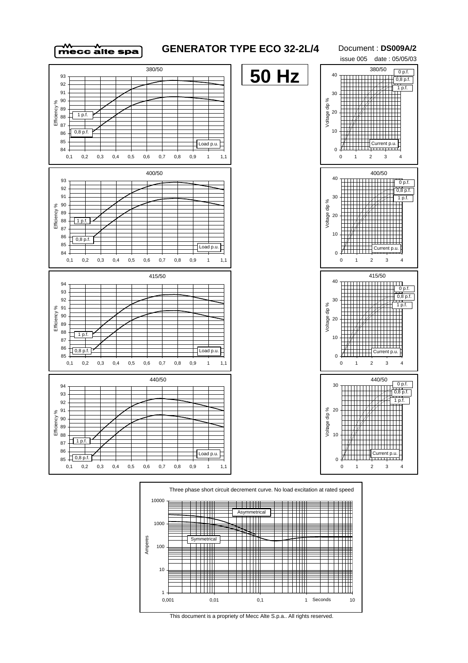

## **GENERATOR TYPE ECO 32-2L/4**

Document : **DS009A/2** issue 005 date : 05/05/03





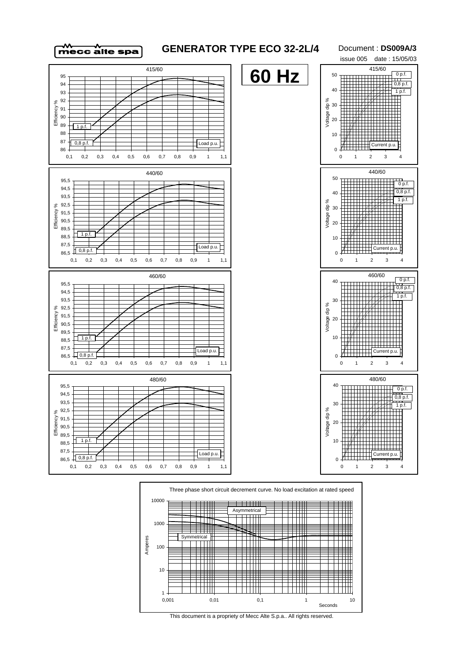



Document : **DS009A/3** issue 005 date : 15/05/03





This document is a propriety of Mecc Alte S.p.a.. All rights reserved.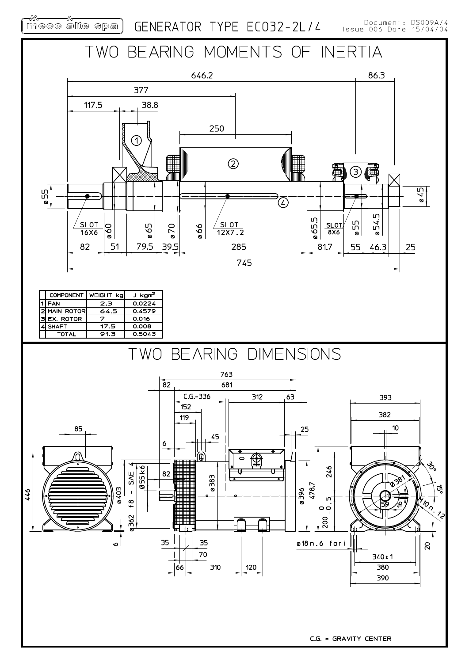